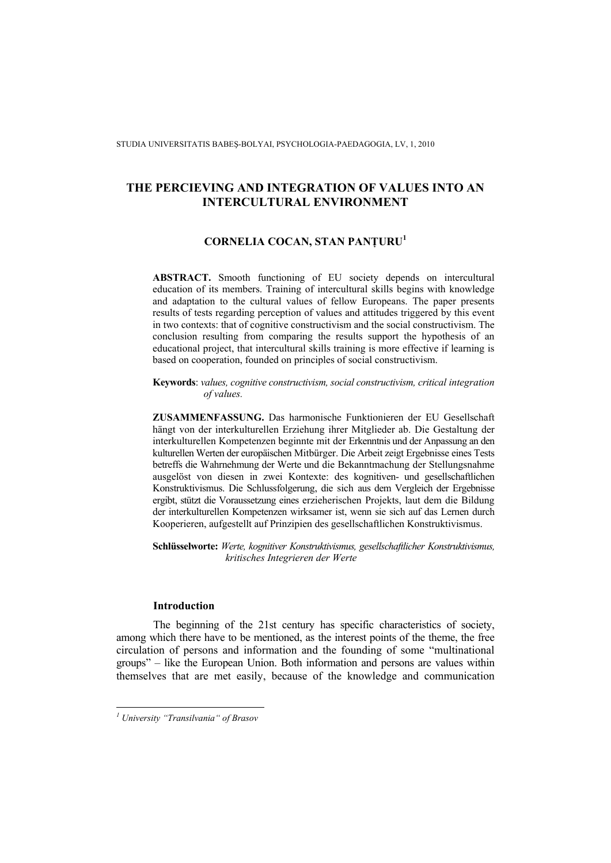STUDIA UNIVERSITATIS BABEŞ-BOLYAI, PSYCHOLOGIA-PAEDAGOGIA, LV, 1, 2010

# **THE PERCIEVING AND INTEGRATION OF VALUES INTO AN INTERCULTURAL ENVIRONMENT**

# **CORNELIA COCAN, STAN PANŢURU<sup>1</sup>**

**ABSTRACT.** Smooth functioning of EU society depends on intercultural education of its members. Training of intercultural skills begins with knowledge and adaptation to the cultural values of fellow Europeans. The paper presents results of tests regarding perception of values and attitudes triggered by this event in two contexts: that of cognitive constructivism and the social constructivism. The conclusion resulting from comparing the results support the hypothesis of an educational project, that intercultural skills training is more effective if learning is based on cooperation, founded on principles of social constructivism.

**Keywords**: *values, cognitive constructivism, social constructivism, critical integration of values.* 

**ZUSAMMENFASSUNG.** Das harmonische Funktionieren der EU Gesellschaft hängt von der interkulturellen Erziehung ihrer Mitglieder ab. Die Gestaltung der interkulturellen Kompetenzen beginnte mit der Erkenntnis und der Anpassung an den kulturellen Werten der europäischen Mitbürger. Die Arbeit zeigt Ergebnisse eines Tests betreffs die Wahrnehmung der Werte und die Bekanntmachung der Stellungsnahme ausgelöst von diesen in zwei Kontexte: des kognitiven- und gesellschaftlichen Konstruktivismus. Die Schlussfolgerung, die sich aus dem Vergleich der Ergebnisse ergibt, stützt die Voraussetzung eines erzieherischen Projekts, laut dem die Bildung der interkulturellen Kompetenzen wirksamer ist, wenn sie sich auf das Lernen durch Kooperieren, aufgestellt auf Prinzipien des gesellschaftlichen Konstruktivismus.

**Schlüsselworte:** *Werte, kognitiver Konstruktivismus, gesellschaftlicher Konstruktivismus, kritisches Integrieren der Werte* 

# **Introduction**

The beginning of the 21st century has specific characteristics of society, among which there have to be mentioned, as the interest points of the theme, the free circulation of persons and information and the founding of some "multinational groups" – like the European Union. Both information and persons are values within themselves that are met easily, because of the knowledge and communication

 *1 University "Transilvania" of Brasov*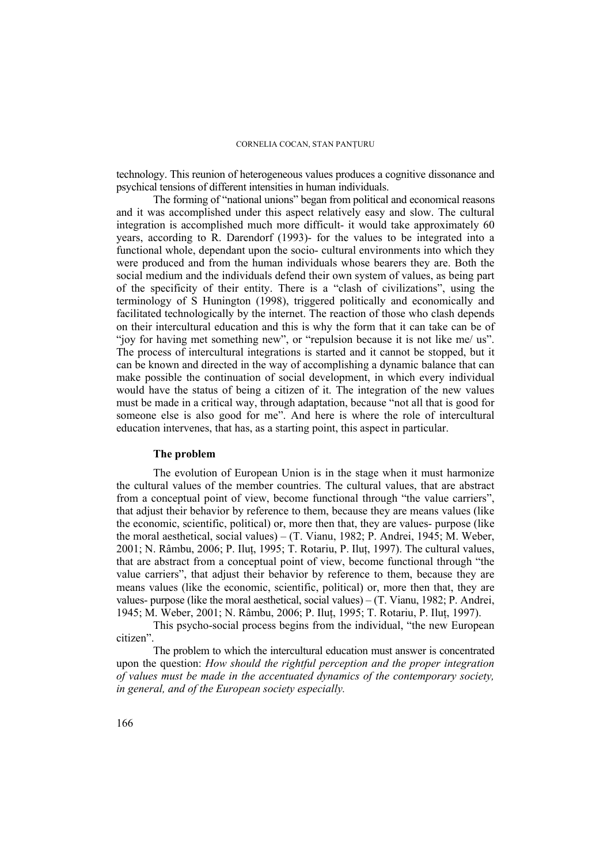technology. This reunion of heterogeneous values produces a cognitive dissonance and psychical tensions of different intensities in human individuals.

The forming of "national unions" began from political and economical reasons and it was accomplished under this aspect relatively easy and slow. The cultural integration is accomplished much more difficult- it would take approximately 60 years, according to R. Darendorf (1993)- for the values to be integrated into a functional whole, dependant upon the socio- cultural environments into which they were produced and from the human individuals whose bearers they are. Both the social medium and the individuals defend their own system of values, as being part of the specificity of their entity. There is a "clash of civilizations", using the terminology of S Hunington (1998), triggered politically and economically and facilitated technologically by the internet. The reaction of those who clash depends on their intercultural education and this is why the form that it can take can be of "joy for having met something new", or "repulsion because it is not like me/ us". The process of intercultural integrations is started and it cannot be stopped, but it can be known and directed in the way of accomplishing a dynamic balance that can make possible the continuation of social development, in which every individual would have the status of being a citizen of it. The integration of the new values must be made in a critical way, through adaptation, because "not all that is good for someone else is also good for me". And here is where the role of intercultural education intervenes, that has, as a starting point, this aspect in particular.

## **The problem**

The evolution of European Union is in the stage when it must harmonize the cultural values of the member countries. The cultural values, that are abstract from a conceptual point of view, become functional through "the value carriers", that adjust their behavior by reference to them, because they are means values (like the economic, scientific, political) or, more then that, they are values- purpose (like the moral aesthetical, social values) – (T. Vianu, 1982; P. Andrei, 1945; M. Weber, 2001; N. Râmbu, 2006; P. Ilut, 1995; T. Rotariu, P. Ilut, 1997). The cultural values, that are abstract from a conceptual point of view, become functional through "the value carriers", that adjust their behavior by reference to them, because they are means values (like the economic, scientific, political) or, more then that, they are values- purpose (like the moral aesthetical, social values) – (T. Vianu, 1982; P. Andrei, 1945; M. Weber, 2001; N. Râmbu, 2006; P. Iluţ, 1995; T. Rotariu, P. Iluţ, 1997).

This psycho-social process begins from the individual, "the new European citizen".

The problem to which the intercultural education must answer is concentrated upon the question: *How should the rightful perception and the proper integration of values must be made in the accentuated dynamics of the contemporary society, in general, and of the European society especially.*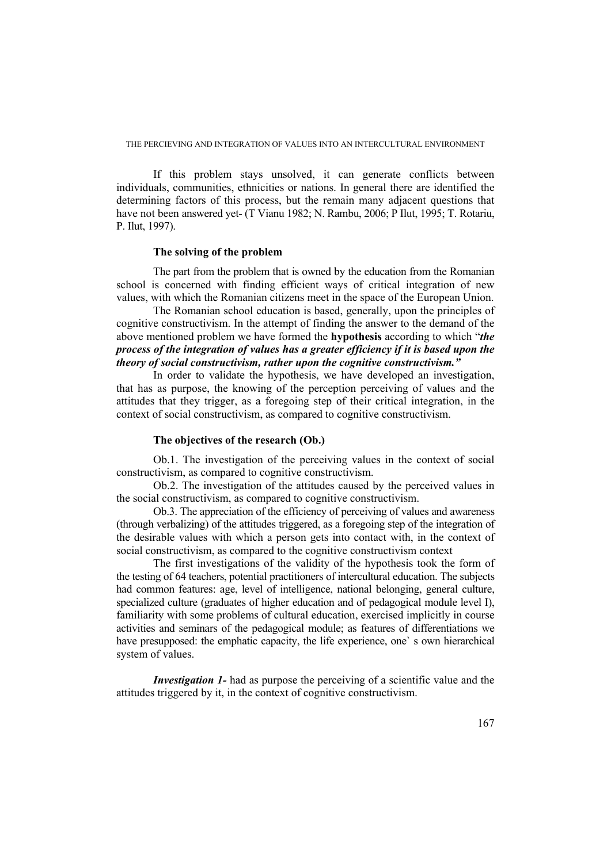If this problem stays unsolved, it can generate conflicts between individuals, communities, ethnicities or nations. In general there are identified the determining factors of this process, but the remain many adjacent questions that have not been answered yet- (T Vianu 1982; N. Rambu, 2006; P Ilut, 1995; T. Rotariu, P. Ilut, 1997).

# **The solving of the problem**

The part from the problem that is owned by the education from the Romanian school is concerned with finding efficient ways of critical integration of new values, with which the Romanian citizens meet in the space of the European Union.

The Romanian school education is based, generally, upon the principles of cognitive constructivism. In the attempt of finding the answer to the demand of the above mentioned problem we have formed the **hypothesis** according to which "*the process of the integration of values has a greater efficiency if it is based upon the theory of social constructivism, rather upon the cognitive constructivism."* 

In order to validate the hypothesis, we have developed an investigation, that has as purpose, the knowing of the perception perceiving of values and the attitudes that they trigger, as a foregoing step of their critical integration, in the context of social constructivism, as compared to cognitive constructivism.

## **The objectives of the research (Ob.)**

Ob.1. The investigation of the perceiving values in the context of social constructivism, as compared to cognitive constructivism.

Ob.2. The investigation of the attitudes caused by the perceived values in the social constructivism, as compared to cognitive constructivism.

Ob.3. The appreciation of the efficiency of perceiving of values and awareness (through verbalizing) of the attitudes triggered, as a foregoing step of the integration of the desirable values with which a person gets into contact with, in the context of social constructivism, as compared to the cognitive constructivism context

The first investigations of the validity of the hypothesis took the form of the testing of 64 teachers, potential practitioners of intercultural education. The subjects had common features: age, level of intelligence, national belonging, general culture, specialized culture (graduates of higher education and of pedagogical module level I), familiarity with some problems of cultural education, exercised implicitly in course activities and seminars of the pedagogical module; as features of differentiations we have presupposed: the emphatic capacity, the life experience, one` s own hierarchical system of values.

*Investigation 1*- had as purpose the perceiving of a scientific value and the attitudes triggered by it, in the context of cognitive constructivism.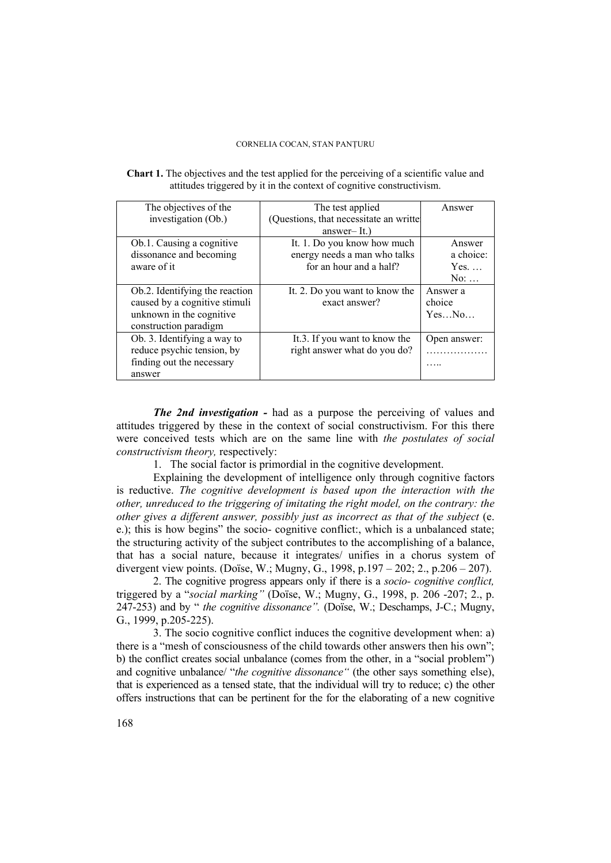| <b>Chart 1.</b> The objectives and the test applied for the perceiving of a scientific value and |  |
|--------------------------------------------------------------------------------------------------|--|
| attitudes triggered by it in the context of cognitive constructivism.                            |  |

| The objectives of the          | The test applied                       | Answer       |
|--------------------------------|----------------------------------------|--------------|
| investigation (Ob.)            | (Questions, that necessitate an writte |              |
|                                | $answer-It.$ )                         |              |
| Ob.1. Causing a cognitive      | It. 1. Do you know how much            | Answer       |
| dissonance and becoming        | energy needs a man who talks           | a choice:    |
| aware of it                    | for an hour and a half?                | $Yes. \dots$ |
|                                |                                        | $No: \ldots$ |
| Ob.2. Identifying the reaction | It. 2. Do you want to know the         | Answer a     |
| caused by a cognitive stimuli  | exact answer?                          | choice       |
| unknown in the cognitive       |                                        | YesNo        |
| construction paradigm          |                                        |              |
| Ob. 3. Identifying a way to    | It.3. If you want to know the          | Open answer: |
| reduce psychic tension, by     | right answer what do you do?           |              |
| finding out the necessary      |                                        |              |
| answer                         |                                        |              |

*The 2nd investigation -* had as a purpose the perceiving of values and attitudes triggered by these in the context of social constructivism. For this there were conceived tests which are on the same line with *the postulates of social constructivism theory,* respectively:

1. The social factor is primordial in the cognitive development.

Explaining the development of intelligence only through cognitive factors is reductive. *The cognitive development is based upon the interaction with the other, unreduced to the triggering of imitating the right model, on the contrary: the other gives a different answer, possibly just as incorrect as that of the subject* (e. e.); this is how begins" the socio- cognitive conflict:, which is a unbalanced state; the structuring activity of the subject contributes to the accomplishing of a balance, that has a social nature, because it integrates/ unifies in a chorus system of divergent view points. (Doïse, W.; Mugny, G., 1998, p.197 – 202; 2., p.206 – 207).

2. The cognitive progress appears only if there is a *socio- cognitive conflict,*  triggered by a "*social marking"* (Doïse, W.; Mugny, G., 1998, p. 206 -207; 2., p. 247-253) and by " *the cognitive dissonance".* (Doïse, W.; Deschamps, J-C.; Mugny, G., 1999, p.205-225).

3. The socio cognitive conflict induces the cognitive development when: a) there is a "mesh of consciousness of the child towards other answers then his own"; b) the conflict creates social unbalance (comes from the other, in a "social problem") and cognitive unbalance/ "*the cognitive dissonance*" (the other says something else), that is experienced as a tensed state, that the individual will try to reduce; c) the other offers instructions that can be pertinent for the for the elaborating of a new cognitive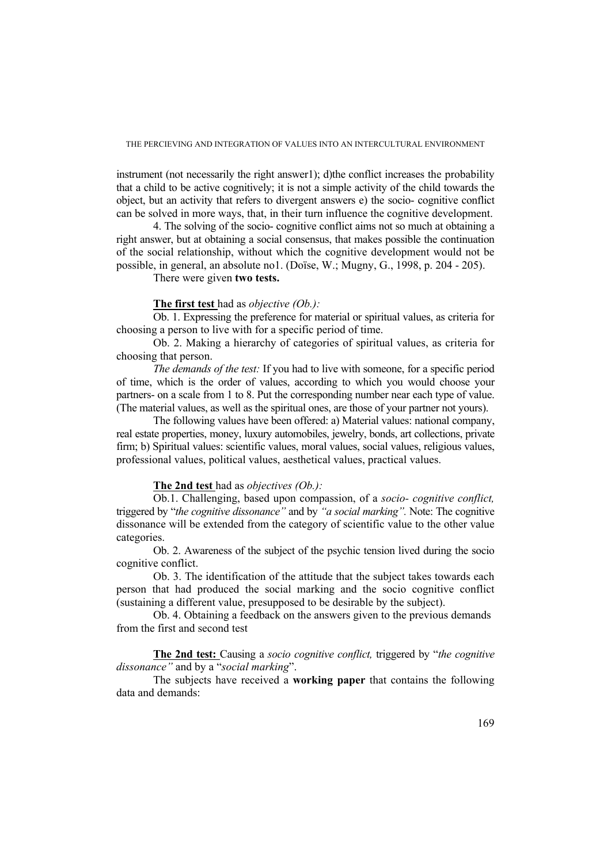instrument (not necessarily the right answer1); d)the conflict increases the probability that a child to be active cognitively; it is not a simple activity of the child towards the object, but an activity that refers to divergent answers e) the socio- cognitive conflict can be solved in more ways, that, in their turn influence the cognitive development.

4. The solving of the socio- cognitive conflict aims not so much at obtaining a right answer, but at obtaining a social consensus, that makes possible the continuation of the social relationship, without which the cognitive development would not be possible, in general, an absolute no1. (Doïse, W.; Mugny, G., 1998, p. 204 - 205).

There were given **two tests.** 

## **The first test** had as *objective (Ob.):*

Ob. 1. Expressing the preference for material or spiritual values, as criteria for choosing a person to live with for a specific period of time.

Ob. 2. Making a hierarchy of categories of spiritual values, as criteria for choosing that person.

*The demands of the test:* If you had to live with someone, for a specific period of time, which is the order of values, according to which you would choose your partners- on a scale from 1 to 8. Put the corresponding number near each type of value. (The material values, as well as the spiritual ones, are those of your partner not yours).

The following values have been offered: a) Material values: national company, real estate properties, money, luxury automobiles, jewelry, bonds, art collections, private firm; b) Spiritual values: scientific values, moral values, social values, religious values, professional values, political values, aesthetical values, practical values.

### **The 2nd test** had as *objectives (Ob.):*

Ob.1. Challenging, based upon compassion, of a *socio- cognitive conflict,*  triggered by "*the cognitive dissonance"* and by *"a social marking".* Note: The cognitive dissonance will be extended from the category of scientific value to the other value categories.

Ob. 2. Awareness of the subject of the psychic tension lived during the socio cognitive conflict.

Ob. 3. The identification of the attitude that the subject takes towards each person that had produced the social marking and the socio cognitive conflict (sustaining a different value, presupposed to be desirable by the subject).

Ob. 4. Obtaining a feedback on the answers given to the previous demands from the first and second test

**The 2nd test:** Causing a *socio cognitive conflict,* triggered by "*the cognitive dissonance"* and by a "*social marking*".

The subjects have received a **working paper** that contains the following data and demands: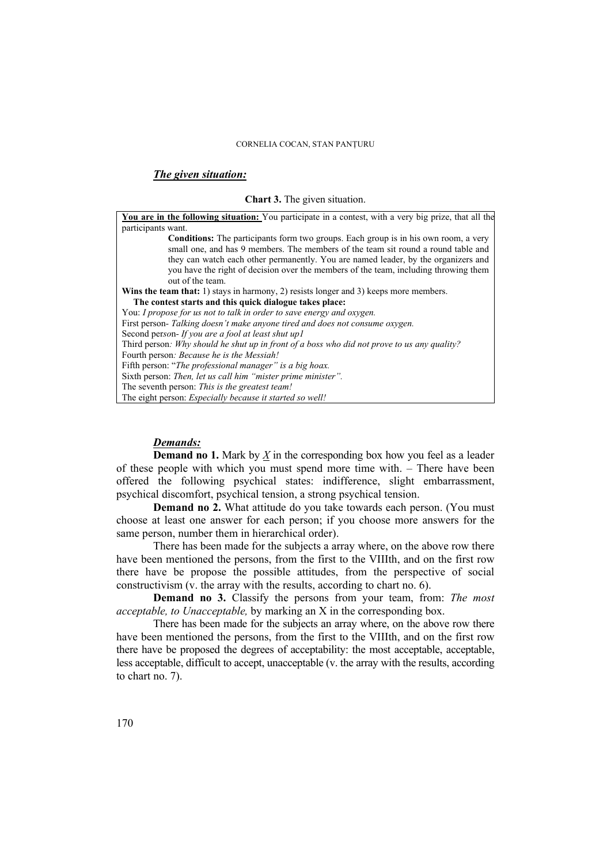## *The given situation:*

#### **Chart 3.** The given situation.

**You are in the following situation:** You participate in a contest, with a very big prize, that all the participants want. **Conditions:** The participants form two groups. Each group is in his own room, a very small one, and has 9 members. The members of the team sit round a round table and they can watch each other permanently. You are named leader, by the organizers and you have the right of decision over the members of the team, including throwing them out of the team. **Wins the team that:** 1) stays in harmony, 2) resists longer and 3) keeps more members. **The contest starts and this quick dialogue takes place:**  You: *I propose for us not to talk in order to save energy and oxygen.*  First person*- Talking doesn't make anyone tired and does not consume oxygen.*  Second per*so*n*- If you are a fool at least shut up1*  Third person*: Why should he shut up in front of a boss who did not prove to us any quality?*  Fourth person*: Because he is the Messiah!*  Fifth person: "*The professional manager" is a big hoax.*  Sixth person: *Then, let us call him "mister prime minister".*  The seventh person: *This is the greatest team!*  The eight person: *Especially because it started so well!* 

### *Demands:*

**Demand no 1.** Mark by *X* in the corresponding box how you feel as a leader of these people with which you must spend more time with. – There have been offered the following psychical states: indifference, slight embarrassment, psychical discomfort, psychical tension, a strong psychical tension.

**Demand no 2.** What attitude do you take towards each person. (You must choose at least one answer for each person; if you choose more answers for the same person, number them in hierarchical order).

There has been made for the subjects a array where, on the above row there have been mentioned the persons, from the first to the VIIIth, and on the first row there have be propose the possible attitudes, from the perspective of social constructivism (v. the array with the results, according to chart no. 6).

**Demand no 3.** Classify the persons from your team, from: *The most acceptable, to Unacceptable,* by marking an X in the corresponding box.

There has been made for the subjects an array where, on the above row there have been mentioned the persons, from the first to the VIIIth, and on the first row there have be proposed the degrees of acceptability: the most acceptable, acceptable, less acceptable, difficult to accept, unacceptable (v. the array with the results, according to chart no. 7).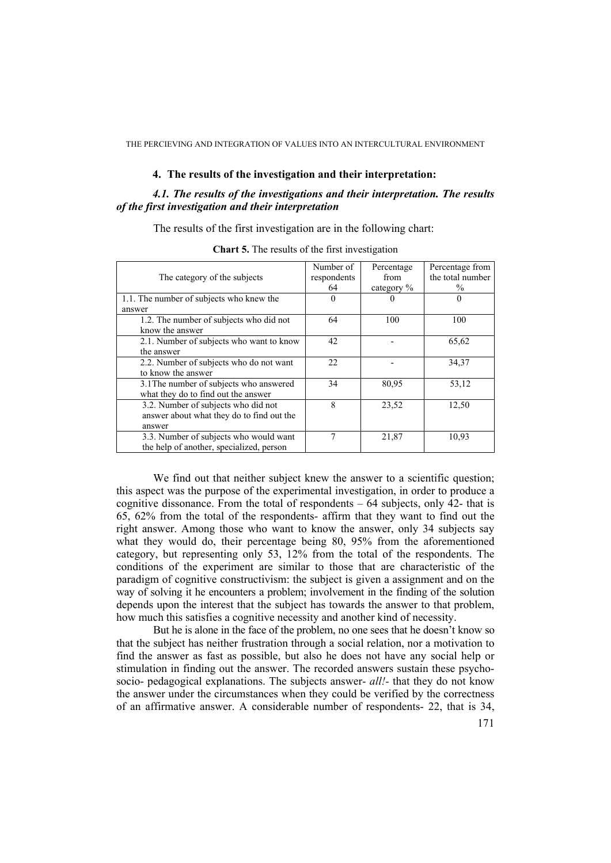## **4. The results of the investigation and their interpretation:**

# *4.1. The results of the investigations and their interpretation. The results of the first investigation and their interpretation*

The results of the first investigation are in the following chart:

|                                           | Number of   | Percentage    | Percentage from  |
|-------------------------------------------|-------------|---------------|------------------|
| The category of the subjects              | respondents | from          | the total number |
|                                           | 64          | category $\%$ | $\%$             |
| 1.1. The number of subjects who knew the  | 0           |               | 0                |
| answer                                    |             |               |                  |
| 1.2. The number of subjects who did not   | 64          | 100           | 100              |
| know the answer                           |             |               |                  |
| 2.1. Number of subjects who want to know  | 42          |               | 65,62            |
| the answer                                |             |               |                  |
| 2.2. Number of subjects who do not want   | 22          |               | 34,37            |
| to know the answer                        |             |               |                  |
| 3.1 The number of subjects who answered   | 34          | 80,95         | 53,12            |
| what they do to find out the answer       |             |               |                  |
| 3.2. Number of subjects who did not       | 8           | 23,52         | 12,50            |
| answer about what they do to find out the |             |               |                  |
| answer                                    |             |               |                  |
| 3.3. Number of subjects who would want    | 7           | 21,87         | 10.93            |
| the help of another, specialized, person  |             |               |                  |

**Chart 5.** The results of the first investigation

We find out that neither subject knew the answer to a scientific question; this aspect was the purpose of the experimental investigation, in order to produce a cognitive dissonance. From the total of respondents  $-64$  subjects, only 42- that is 65, 62% from the total of the respondents- affirm that they want to find out the right answer. Among those who want to know the answer, only 34 subjects say what they would do, their percentage being 80, 95% from the aforementioned category, but representing only 53, 12% from the total of the respondents. The conditions of the experiment are similar to those that are characteristic of the paradigm of cognitive constructivism: the subject is given a assignment and on the way of solving it he encounters a problem; involvement in the finding of the solution depends upon the interest that the subject has towards the answer to that problem, how much this satisfies a cognitive necessity and another kind of necessity.

But he is alone in the face of the problem, no one sees that he doesn't know so that the subject has neither frustration through a social relation, nor a motivation to find the answer as fast as possible, but also he does not have any social help or stimulation in finding out the answer. The recorded answers sustain these psychosocio- pedagogical explanations. The subjects answer- *all!-* that they do not know the answer under the circumstances when they could be verified by the correctness of an affirmative answer. A considerable number of respondents- 22, that is 34,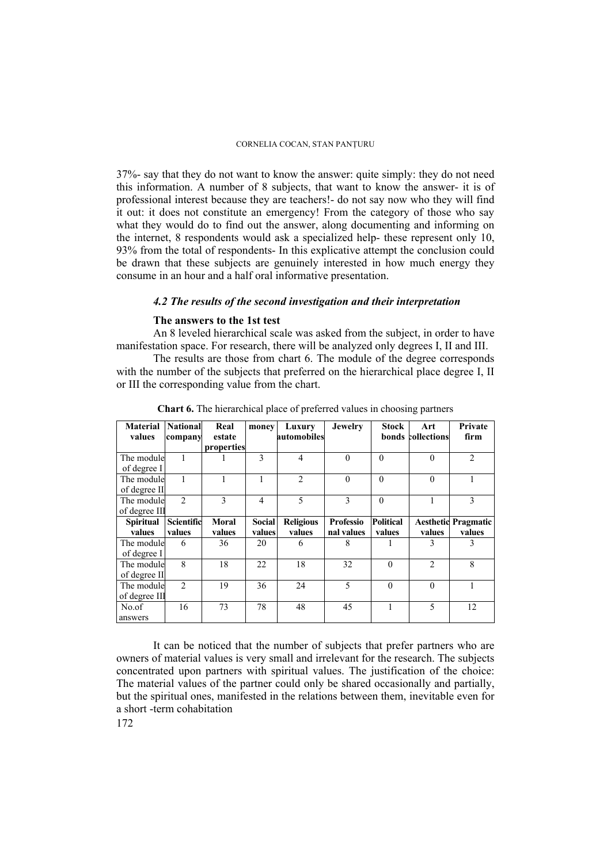37%- say that they do not want to know the answer: quite simply: they do not need this information. A number of 8 subjects, that want to know the answer- it is of professional interest because they are teachers!- do not say now who they will find it out: it does not constitute an emergency! From the category of those who say what they would do to find out the answer, along documenting and informing on the internet, 8 respondents would ask a specialized help- these represent only 10, 93% from the total of respondents- In this explicative attempt the conclusion could be drawn that these subjects are genuinely interested in how much energy they consume in an hour and a half oral informative presentation.

# *4.2 The results of the second investigation and their interpretation*

# **The answers to the 1st test**

An 8 leveled hierarchical scale was asked from the subject, in order to have manifestation space. For research, there will be analyzed only degrees I, II and III.

The results are those from chart 6. The module of the degree corresponds with the number of the subjects that preferred on the hierarchical place degree I, II or III the corresponding value from the chart.

| <b>Material</b><br>values | <b>National</b><br>company | Real<br>estate | Luxury<br>money<br>automobiles |                  | <b>Jewelry</b>   | <b>Stock</b>     | Art<br>bonds collections | Private<br>firm            |
|---------------------------|----------------------------|----------------|--------------------------------|------------------|------------------|------------------|--------------------------|----------------------------|
|                           |                            | properties     |                                |                  |                  |                  |                          |                            |
| The module                |                            |                | $\mathbf{3}$                   | 4                | $\theta$         | $\Omega$         | $\Omega$                 | $\overline{2}$             |
| of degree I               |                            |                |                                |                  |                  |                  |                          |                            |
| The module                |                            |                |                                | $\overline{2}$   | $\theta$         | $\Omega$         | $\theta$                 |                            |
| of degree II              |                            |                |                                |                  |                  |                  |                          |                            |
| The module                | $\mathfrak{D}$             | $\mathcal{E}$  | $\overline{4}$                 | 5                | 3                | $\theta$         |                          | 3                          |
| of degree III             |                            |                |                                |                  |                  |                  |                          |                            |
| <b>Spiritual</b>          | Scientific                 | <b>Moral</b>   | <b>Social</b>                  | <b>Religious</b> | <b>Professio</b> | <b>Political</b> |                          | <b>Aesthetic Pragmatic</b> |
| values                    | values                     | values         | values                         | values           | nal values       | values           | values                   | values                     |
| The module                | 6                          | 36             | 20                             | 6                | 8                |                  | 3                        | 3                          |
| of degree I               |                            |                |                                |                  |                  |                  |                          |                            |
| The module                | 8                          | 18             | 22                             | 18               | 32               | $\theta$         | $\mathfrak{D}$           | 8                          |
| of degree II              |                            |                |                                |                  |                  |                  |                          |                            |
| The module                | $\mathfrak{D}$             | 19             | 36                             | 24               | 5                | $\theta$         | $\Omega$                 |                            |
| of degree III             |                            |                |                                |                  |                  |                  |                          |                            |
| No.of                     | 16                         | 73             | 78                             | 48               | 45               | 1                | 5                        | 12                         |
| answers                   |                            |                |                                |                  |                  |                  |                          |                            |

**Chart 6.** The hierarchical place of preferred values in choosing partners

It can be noticed that the number of subjects that prefer partners who are owners of material values is very small and irrelevant for the research. The subjects concentrated upon partners with spiritual values. The justification of the choice: The material values of the partner could only be shared occasionally and partially, but the spiritual ones, manifested in the relations between them, inevitable even for a short -term cohabitation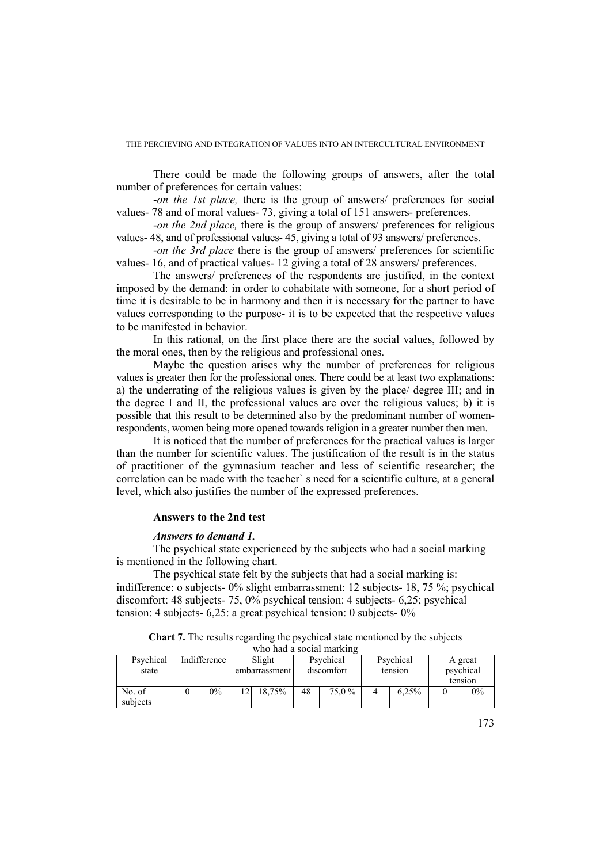There could be made the following groups of answers, after the total number of preferences for certain values:

-*on the 1st place,* there is the group of answers/ preferences for social values- 78 and of moral values- 73, giving a total of 151 answers- preferences.

-*on the 2nd place,* there is the group of answers/ preferences for religious values- 48, and of professional values- 45, giving a total of 93 answers/ preferences.

-*on the 3rd place* there is the group of answers/ preferences for scientific values- 16, and of practical values- 12 giving a total of 28 answers/ preferences.

The answers/ preferences of the respondents are justified, in the context imposed by the demand: in order to cohabitate with someone, for a short period of time it is desirable to be in harmony and then it is necessary for the partner to have values corresponding to the purpose- it is to be expected that the respective values to be manifested in behavior.

In this rational, on the first place there are the social values, followed by the moral ones, then by the religious and professional ones.

Maybe the question arises why the number of preferences for religious values is greater then for the professional ones. There could be at least two explanations: a) the underrating of the religious values is given by the place/ degree III; and in the degree I and II, the professional values are over the religious values; b) it is possible that this result to be determined also by the predominant number of womenrespondents, women being more opened towards religion in a greater number then men.

It is noticed that the number of preferences for the practical values is larger than the number for scientific values. The justification of the result is in the status of practitioner of the gymnasium teacher and less of scientific researcher; the correlation can be made with the teacher` s need for a scientific culture, at a general level, which also justifies the number of the expressed preferences.

## **Answers to the 2nd test**

## *Answers to demand 1.*

The psychical state experienced by the subjects who had a social marking is mentioned in the following chart.

The psychical state felt by the subjects that had a social marking is: indifference: o subjects- 0% slight embarrassment: 12 subjects- 18, 75 %; psychical discomfort: 48 subjects- 75, 0% psychical tension: 4 subjects- 6,25; psychical tension: 4 subjects- 6,25: a great psychical tension: 0 subjects- 0%

**Chart 7.** The results regarding the psychical state mentioned by the subjects who had a social marking

| Psychical<br>state | Indifference | Slight<br>embarrassment |        | Psychical<br>discomfort |        | Psychical<br>tension |       | A great<br>psychical<br>tension |       |
|--------------------|--------------|-------------------------|--------|-------------------------|--------|----------------------|-------|---------------------------------|-------|
| No. of<br>subjects | 0%           |                         | 18.75% | 48                      | 75.0 % |                      | 6.25% |                                 | $0\%$ |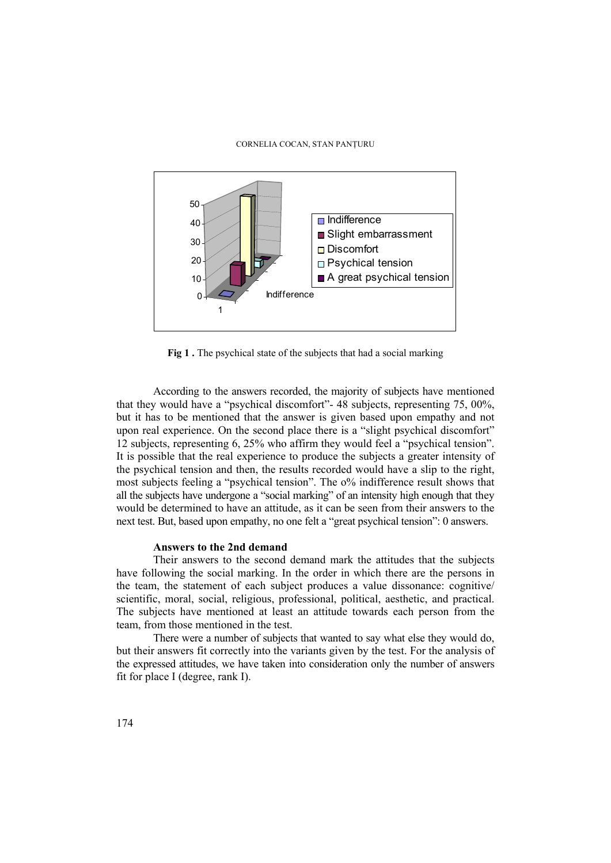

Fig 1. The psychical state of the subjects that had a social marking

According to the answers recorded, the majority of subjects have mentioned that they would have a "psychical discomfort"- 48 subjects, representing 75, 00%, but it has to be mentioned that the answer is given based upon empathy and not upon real experience. On the second place there is a "slight psychical discomfort" 12 subjects, representing 6, 25% who affirm they would feel a "psychical tension". It is possible that the real experience to produce the subjects a greater intensity of the psychical tension and then, the results recorded would have a slip to the right, most subjects feeling a "psychical tension". The o% indifference result shows that all the subjects have undergone a "social marking" of an intensity high enough that they would be determined to have an attitude, as it can be seen from their answers to the next test. But, based upon empathy, no one felt a "great psychical tension": 0 answers.

## **Answers to the 2nd demand**

Their answers to the second demand mark the attitudes that the subjects have following the social marking. In the order in which there are the persons in the team, the statement of each subject produces a value dissonance: cognitive/ scientific, moral, social, religious, professional, political, aesthetic, and practical. The subjects have mentioned at least an attitude towards each person from the team, from those mentioned in the test.

There were a number of subjects that wanted to say what else they would do, but their answers fit correctly into the variants given by the test. For the analysis of the expressed attitudes, we have taken into consideration only the number of answers fit for place I (degree, rank I).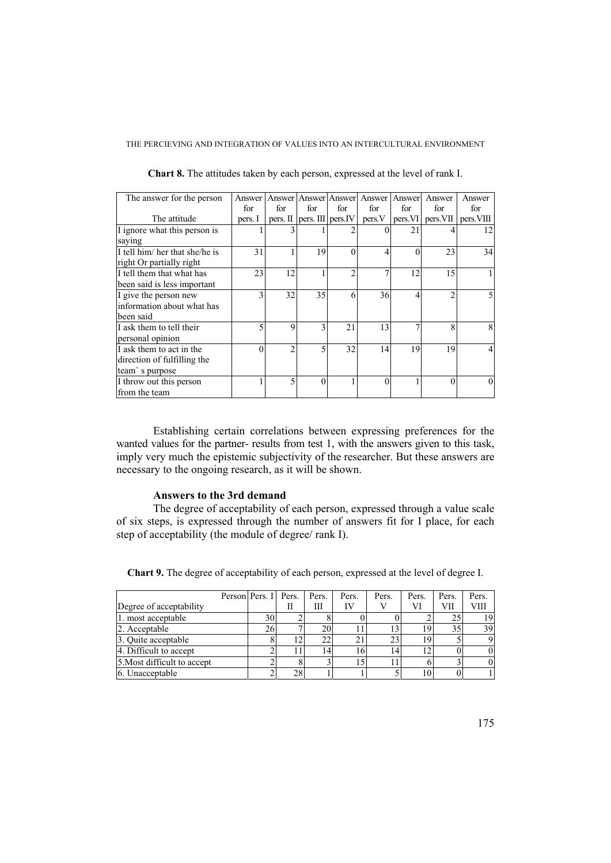| The answer for the person      | Answer   |          | Answer Answer Answer |                    | Answer | Answer  | Answer         | Answer     |
|--------------------------------|----------|----------|----------------------|--------------------|--------|---------|----------------|------------|
|                                | for      | for      | for                  | for                | for    | for     | for            | for        |
| The attitude                   | pers. I  | pers. II |                      | pers. III pers. IV | pers.V | pers.VI | pers. VII      | pers. VIII |
| I ignore what this person is   |          |          |                      |                    |        | 21      |                | 12         |
| saying                         |          |          |                      |                    |        |         |                |            |
| I tell him/ her that she/he is | 31       |          | 19                   | 0                  | 4      | 0       | 23             | 34         |
| right Or partially right       |          |          |                      |                    |        |         |                |            |
| I tell them that what has      | 23       | 12       |                      |                    |        | 12      | 15             |            |
| been said is less important    |          |          |                      |                    |        |         |                |            |
| I give the person new          | 3        | 32       | 35                   | 6                  | 36     |         | $\overline{c}$ | 5          |
| information about what has     |          |          |                      |                    |        |         |                |            |
| been said                      |          |          |                      |                    |        |         |                |            |
| I ask them to tell their       | 5        | 9        | 3                    | 21                 | 13     | 7       | 8              | 8          |
| personal opinion               |          |          |                      |                    |        |         |                |            |
| I ask them to act in the       | $\Omega$ | ↑        |                      | 32                 | 14     | 19      | 19             | 4          |
| direction of fulfilling the    |          |          |                      |                    |        |         |                |            |
| team's purpose                 |          |          |                      |                    |        |         |                |            |
| I throw out this person        |          |          |                      |                    | 0      |         | $\Omega$       | $\Omega$   |
| from the team                  |          |          |                      |                    |        |         |                |            |

**Chart 8.** The attitudes taken by each person, expressed at the level of rank I.

Establishing certain correlations between expressing preferences for the wanted values for the partner- results from test 1, with the answers given to this task, imply very much the epistemic subjectivity of the researcher. But these answers are necessary to the ongoing research, as it will be shown.

## **Answers to the 3rd demand**

The degree of acceptability of each person, expressed through a value scale of six steps, is expressed through the number of answers fit for I place, for each step of acceptability (the module of degree/ rank I).

|                             | Person Pers. I Pers. |                | Pers. | Pers. | Pers. | Pers. | Pers. | Pers. |
|-----------------------------|----------------------|----------------|-------|-------|-------|-------|-------|-------|
| Degree of acceptability     |                      | П              | Ш     | IV    |       |       | VІІ   | VIII  |
| 1. most acceptable          | 30                   |                |       |       |       |       |       | 1 Q I |
| 2. Acceptable               | 26                   |                | 20    |       |       |       |       | 391   |
| 3. Quite acceptable         |                      | $\overline{2}$ | 22    | 21    | 23    |       |       |       |
| 4. Difficult to accept      |                      |                | '4.   | 16    | 14    |       |       |       |
| 5. Most difficult to accept |                      |                |       | 15    |       |       |       |       |
| 6. Unacceptable             |                      | 28             |       |       |       |       |       |       |

**Chart 9.** The degree of acceptability of each person, expressed at the level of degree I.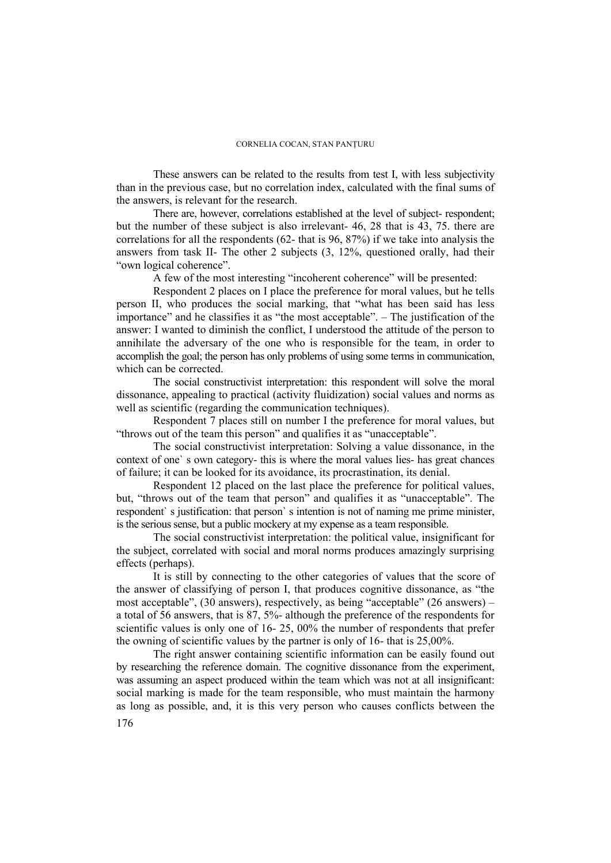These answers can be related to the results from test I, with less subjectivity than in the previous case, but no correlation index, calculated with the final sums of the answers, is relevant for the research.

There are, however, correlations established at the level of subject- respondent; but the number of these subject is also irrelevant- 46, 28 that is 43, 75. there are correlations for all the respondents (62- that is 96, 87%) if we take into analysis the answers from task II- The other 2 subjects (3, 12%, questioned orally, had their "own logical coherence".

A few of the most interesting "incoherent coherence" will be presented:

Respondent 2 places on I place the preference for moral values, but he tells person II, who produces the social marking, that "what has been said has less importance" and he classifies it as "the most acceptable". – The justification of the answer: I wanted to diminish the conflict, I understood the attitude of the person to annihilate the adversary of the one who is responsible for the team, in order to accomplish the goal; the person has only problems of using some terms in communication, which can be corrected.

The social constructivist interpretation: this respondent will solve the moral dissonance, appealing to practical (activity fluidization) social values and norms as well as scientific (regarding the communication techniques).

Respondent 7 places still on number I the preference for moral values, but "throws out of the team this person" and qualifies it as "unacceptable".

The social constructivist interpretation: Solving a value dissonance, in the context of one` s own category- this is where the moral values lies- has great chances of failure; it can be looked for its avoidance, its procrastination, its denial.

Respondent 12 placed on the last place the preference for political values, but, "throws out of the team that person" and qualifies it as "unacceptable". The respondent` s justification: that person` s intention is not of naming me prime minister, is the serious sense, but a public mockery at my expense as a team responsible.

The social constructivist interpretation: the political value, insignificant for the subject, correlated with social and moral norms produces amazingly surprising effects (perhaps).

It is still by connecting to the other categories of values that the score of the answer of classifying of person I, that produces cognitive dissonance, as "the most acceptable", (30 answers), respectively, as being "acceptable" (26 answers) – a total of  $\overline{56}$  answers, that is  $\overline{87}$ ,  $\overline{5\%}$ - although the preference of the respondents for scientific values is only one of 16- 25, 00% the number of respondents that prefer the owning of scientific values by the partner is only of 16- that is 25,00%.

The right answer containing scientific information can be easily found out by researching the reference domain. The cognitive dissonance from the experiment, was assuming an aspect produced within the team which was not at all insignificant: social marking is made for the team responsible, who must maintain the harmony as long as possible, and, it is this very person who causes conflicts between the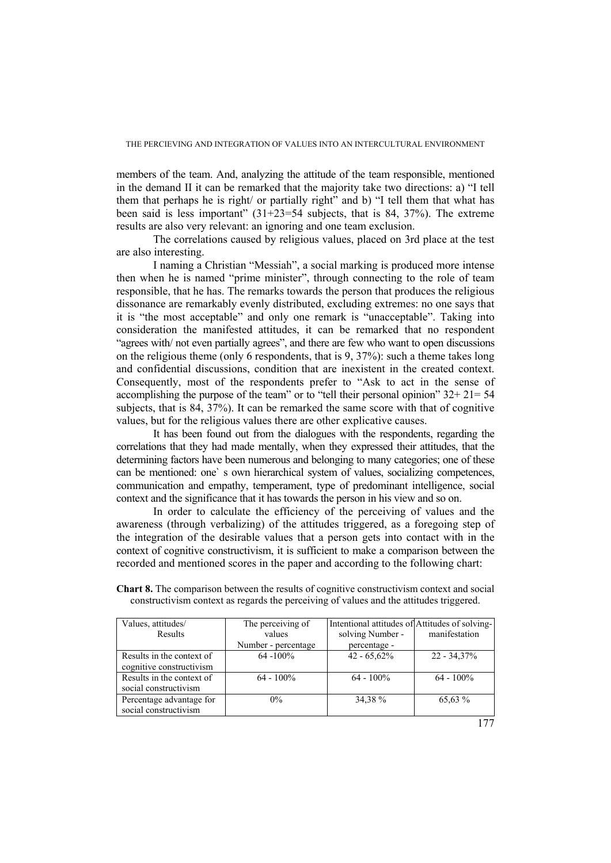members of the team. And, analyzing the attitude of the team responsible, mentioned in the demand II it can be remarked that the majority take two directions: a) "I tell them that perhaps he is right/ or partially right" and b) "I tell them that what has been said is less important" (31+23=54 subjects, that is 84, 37%). The extreme results are also very relevant: an ignoring and one team exclusion.

The correlations caused by religious values, placed on 3rd place at the test are also interesting.

I naming a Christian "Messiah", a social marking is produced more intense then when he is named "prime minister", through connecting to the role of team responsible, that he has. The remarks towards the person that produces the religious dissonance are remarkably evenly distributed, excluding extremes: no one says that it is "the most acceptable" and only one remark is "unacceptable". Taking into consideration the manifested attitudes, it can be remarked that no respondent "agrees with/ not even partially agrees", and there are few who want to open discussions on the religious theme (only 6 respondents, that is 9, 37%): such a theme takes long and confidential discussions, condition that are inexistent in the created context. Consequently, most of the respondents prefer to "Ask to act in the sense of accomplishing the purpose of the team" or to "tell their personal opinion"  $32+21=54$ subjects, that is 84, 37%). It can be remarked the same score with that of cognitive values, but for the religious values there are other explicative causes.

It has been found out from the dialogues with the respondents, regarding the correlations that they had made mentally, when they expressed their attitudes, that the determining factors have been numerous and belonging to many categories; one of these can be mentioned: one` s own hierarchical system of values, socializing competences, communication and empathy, temperament, type of predominant intelligence, social context and the significance that it has towards the person in his view and so on.

In order to calculate the efficiency of the perceiving of values and the awareness (through verbalizing) of the attitudes triggered, as a foregoing step of the integration of the desirable values that a person gets into contact with in the context of cognitive constructivism, it is sufficient to make a comparison between the recorded and mentioned scores in the paper and according to the following chart:

| Values, attitudes/        | The perceiving of   | Intentional attitudes of Attitudes of solving- |                |
|---------------------------|---------------------|------------------------------------------------|----------------|
| Results                   | values              | solving Number -                               | manifestation  |
|                           | Number - percentage | percentage -                                   |                |
| Results in the context of | $64 - 100\%$        | $42 - 65,62\%$                                 | $22 - 34,37\%$ |
| cognitive constructivism  |                     |                                                |                |
| Results in the context of | $64 - 100\%$        | $64 - 100\%$                                   | $64 - 100\%$   |
| social constructivism     |                     |                                                |                |
| Percentage advantage for  | $0\%$               | 34,38 %                                        | 65,63 %        |
| social constructivism     |                     |                                                |                |

**Chart 8.** The comparison between the results of cognitive constructivism context and social constructivism context as regards the perceiving of values and the attitudes triggered.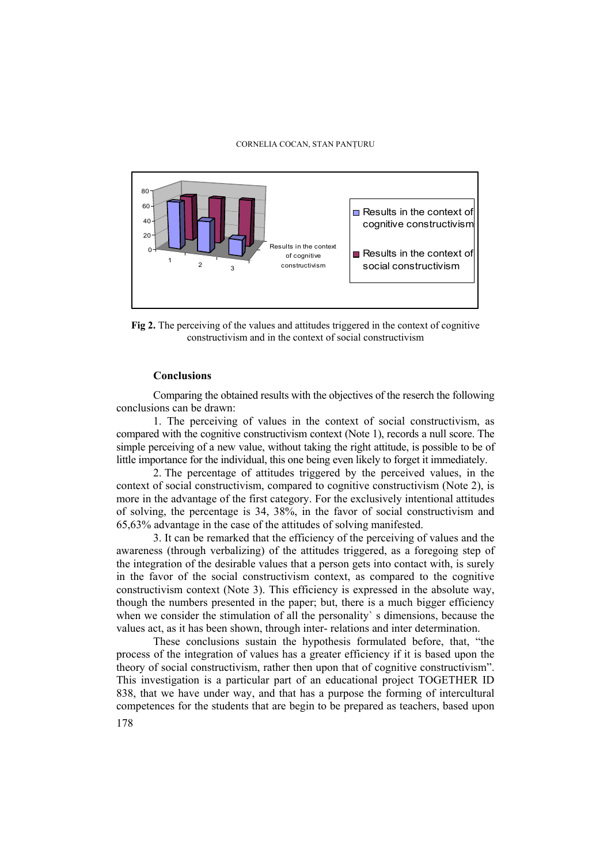

**Fig 2.** The perceiving of the values and attitudes triggered in the context of cognitive constructivism and in the context of social constructivism

## **Conclusions**

Comparing the obtained results with the objectives of the reserch the following conclusions can be drawn:

1. The perceiving of values in the context of social constructivism, as compared with the cognitive constructivism context (Note 1), records a null score. The simple perceiving of a new value, without taking the right attitude, is possible to be of little importance for the individual, this one being even likely to forget it immediately.

2. The percentage of attitudes triggered by the perceived values, in the context of social constructivism, compared to cognitive constructivism (Note 2), is more in the advantage of the first category. For the exclusively intentional attitudes of solving, the percentage is 34, 38%, in the favor of social constructivism and 65,63% advantage in the case of the attitudes of solving manifested.

3. It can be remarked that the efficiency of the perceiving of values and the awareness (through verbalizing) of the attitudes triggered, as a foregoing step of the integration of the desirable values that a person gets into contact with, is surely in the favor of the social constructivism context, as compared to the cognitive constructivism context (Note 3). This efficiency is expressed in the absolute way, though the numbers presented in the paper; but, there is a much bigger efficiency when we consider the stimulation of all the personality's dimensions, because the values act, as it has been shown, through inter- relations and inter determination.

These conclusions sustain the hypothesis formulated before, that, "the process of the integration of values has a greater efficiency if it is based upon the theory of social constructivism, rather then upon that of cognitive constructivism". This investigation is a particular part of an educational project TOGETHER ID 838, that we have under way, and that has a purpose the forming of intercultural competences for the students that are begin to be prepared as teachers, based upon